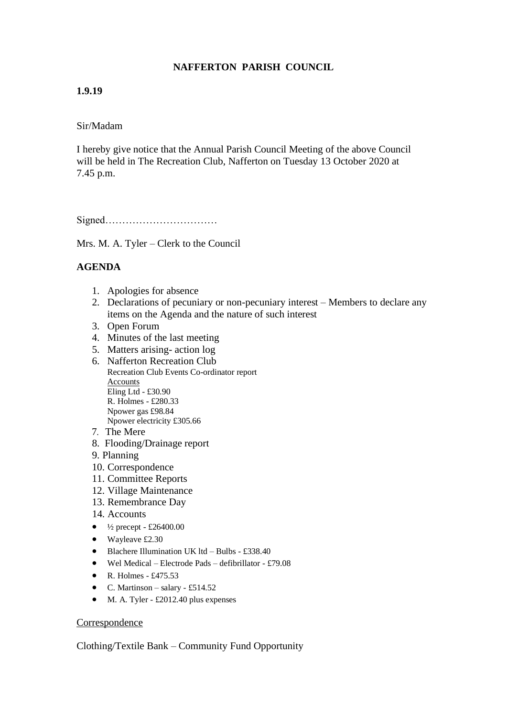# **NAFFERTON PARISH COUNCIL**

## **1.9.19**

### Sir/Madam

I hereby give notice that the Annual Parish Council Meeting of the above Council will be held in The Recreation Club, Nafferton on Tuesday 13 October 2020 at 7.45 p.m.

Signed……………………………

Mrs. M. A. Tyler – Clerk to the Council

## **AGENDA**

- 1. Apologies for absence
- 2. Declarations of pecuniary or non-pecuniary interest Members to declare any items on the Agenda and the nature of such interest
- 3. Open Forum
- 4. Minutes of the last meeting
- 5. Matters arising- action log
- 6. Nafferton Recreation Club Recreation Club Events Co-ordinator report Accounts Eling Ltd - £30.90 R. Holmes - £280.33 Npower gas £98.84 Npower electricity £305.66
- 7. The Mere
- 8. Flooding/Drainage report
- 9. Planning
- 10. Correspondence
- 11. Committee Reports
- 12. Village Maintenance
- 13. Remembrance Day
- 14. Accounts
- $\frac{1}{2}$  precept £26400.00
- Wayleave £2.30
- Blachere Illumination UK ltd Bulbs £338.40
- Wel Medical Electrode Pads defibrillator £79.08
- R. Holmes  $£475.53$
- C. Martinson salary £514.52
- M. A. Tyler £2012.40 plus expenses

#### Correspondence

Clothing/Textile Bank – Community Fund Opportunity